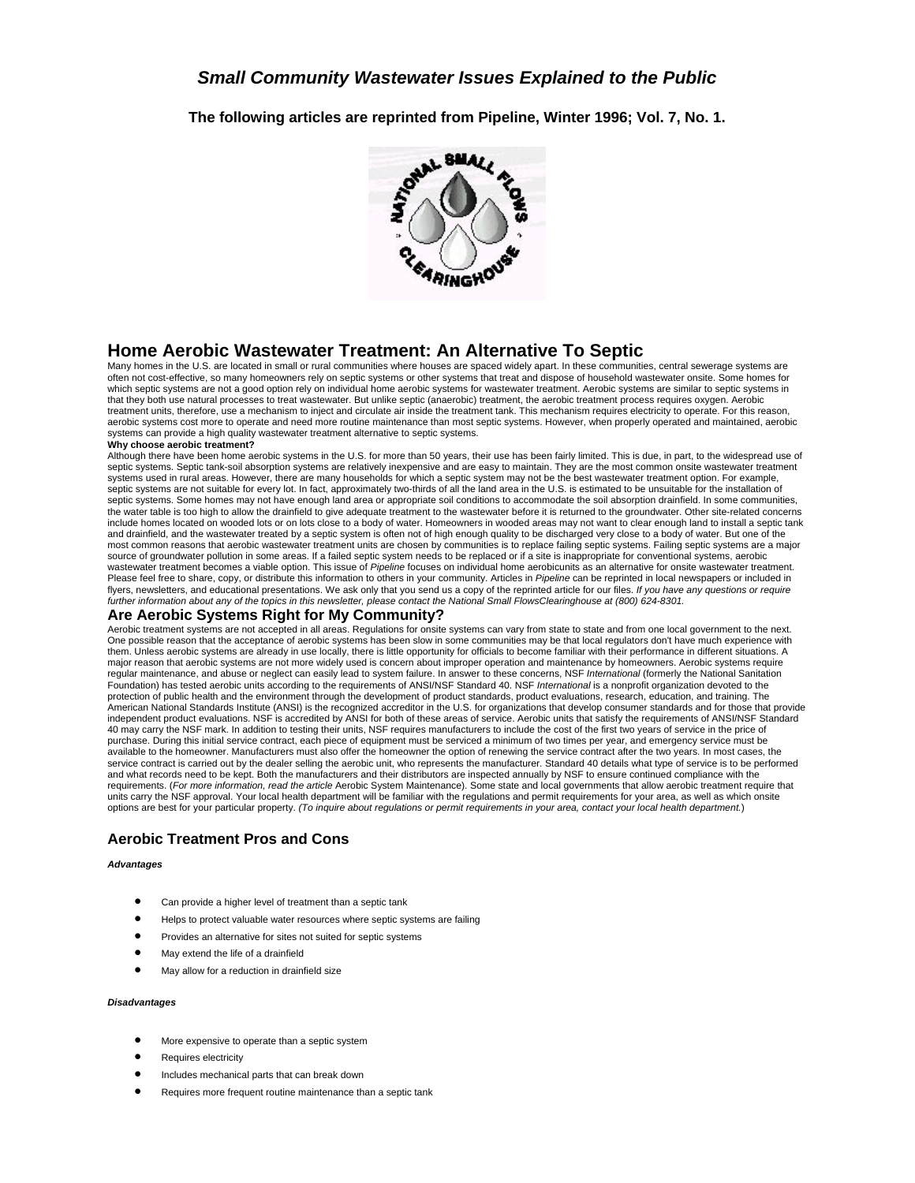**The following articles are reprinted from Pipeline, Winter 1996; Vol. 7, No. 1.**



### **Home Aerobic Wastewater Treatment: An Alternative To Septic**

Many homes in the U.S. are located in small or rural communities where houses are spaced widely apart. In these communities, central sewerage systems are often not cost-effective, so many homeowners rely on septic systems or other systems that treat and dispose of household wastewater onsite. Some homes for which septic systems are not a good option rely on individual home aerobic systems for wastewater treatment. Aerobic systems are similar to septic systems in that they both use natural processes to treat wastewater. But unlike septic (anaerobic) treatment, the aerobic treatment process requires oxygen. Aerobic treatment units, therefore, use a mechanism to inject and circulate air inside the treatment tank. This mechanism requires electricity to operate. For this reason, aerobic systems cost more to operate and need more routine maintenance than most septic systems. However, when properly operated and maintained, aerobic systems can provide a high quality wastewater treatment alternative to septic systems.

#### **Why choose aerobic treatment?**

Although there have been home aerobic systems in the U.S. for more than 50 years, their use has been fairly limited. This is due, in part, to the widespread use of septic systems. Septic tank-soil absorption systems are relatively inexpensive and are easy to maintain. They are the most common onsite wastewater treatment<br>systems used in rural areas. However, there are many households septic systems are not suitable for every lot. In fact, approximately two-thirds of all the land area in the U.S. is estimated to be unsuitable for the installation of septic systems. Some homes may not have enough land area or appropriate soil conditions to accommodate the soil absorption drainfield. In some communities, the water table is too high to allow the drainfield to give adequate treatment to the wastewater before it is returned to the groundwater. Other site-related concerns include homes located on wooded lots or on lots close to a body of water. Homeowners in wooded areas may not want to clear enough land to install a septic tank and drainfield, and the wastewater treated by a septic system is often not of high enough quality to be discharged very close to a body of water. But one of the most common reasons that aerobic wastewater treatment units are chosen by communities is to replace failing septic systems. Failing septic systems are a major source of groundwater pollution in some areas. If a failed septic system needs to be replaced or if a site is inappropriate for conventional systems, aerobic wastewater treatment becomes a viable option. This issue of *Pipeline* focuses on individual home aerobicunits as an alternative for onsite wastewater treatment. Please feel free to share, copy, or distribute this information to others in your community. Articles in *Pipeline* can be reprinted in local newspapers or included in flyers, newsletters, and educational presentations. We ask only that you send us a copy of the reprinted article for our files. *If you have any questions or require further information about any of the topics in this newsletter, please contact the National Small FlowsClearinghouse at (800) 624-8301.*

### **Are Aerobic Systems Right for My Community?**

Aerobic treatment systems are not accepted in all areas. Regulations for onsite systems can vary from state to state and from one local government to the next. One possible reason that the acceptance of aerobic systems has been slow in some communities may be that local regulators don't have much experience with them. Unless aerobic systems are already in use locally, there is little opportunity for officials to become familiar with their performance in different situations. A major reason that aerobic systems are not more widely used is concern about improper operation and maintenance by homeowners. Aerobic systems require regular maintenance, and abuse or neglect can easily lead to system failure. In answer to these concerns, NSF *International* (formerly the National Sanitation Foundation) has tested aerobic units according to the requirements of ANSI/NSF Standard 40. NSF *International* is a nonprofit organization devoted to the protection of public health and the environment through the development of product standards, product evaluations, research, education, and training. The American National Standards Institute (ANSI) is the recognized accreditor in the U.S. for organizations that develop consumer standards and for those that provide<br>independent product evaluations. NSF is accredited by ANSI 40 may carry the NSF mark. In addition to testing their units, NSF requires manufacturers to include the cost of the first two years of service in the price of purchase. During this initial service contract, each piece of equipment must be serviced a minimum of two times per year, and emergency service must be available to the homeowner. Manufacturers must also offer the homeowner the option of renewing the service contract after the two years. In most cases, the service contract is carried out by the dealer selling the aerobic unit, who represents the manufacturer. Standard 40 details what type of service is to be performed and what records need to be kept. Both the manufacturers and their distributors are inspected annually by NSF to ensure continued compliance with the requirements. (*For more information, read the article* Aerobic System Maintenance). Some state and local governments that allow aerobic treatment require that units carry the NSF approval. Your local health department will be familiar with the regulations and permit requirements for your area, as well as which onsite options are best for your particular property. *(To inquire about regulations or permit requirements in your area, contact your local health department.*)

### **Aerobic Treatment Pros and Cons**

#### *Advantages*

- Can provide a higher level of treatment than a septic tank
- Helps to protect valuable water resources where septic systems are failing
- Provides an alternative for sites not suited for septic systems
- May extend the life of a drainfield
- May allow for a reduction in drainfield size

#### *Disadvantages*

- More expensive to operate than a septic system
- Requires electricity
- Includes mechanical parts that can break down
- Requires more frequent routine maintenance than a septic tank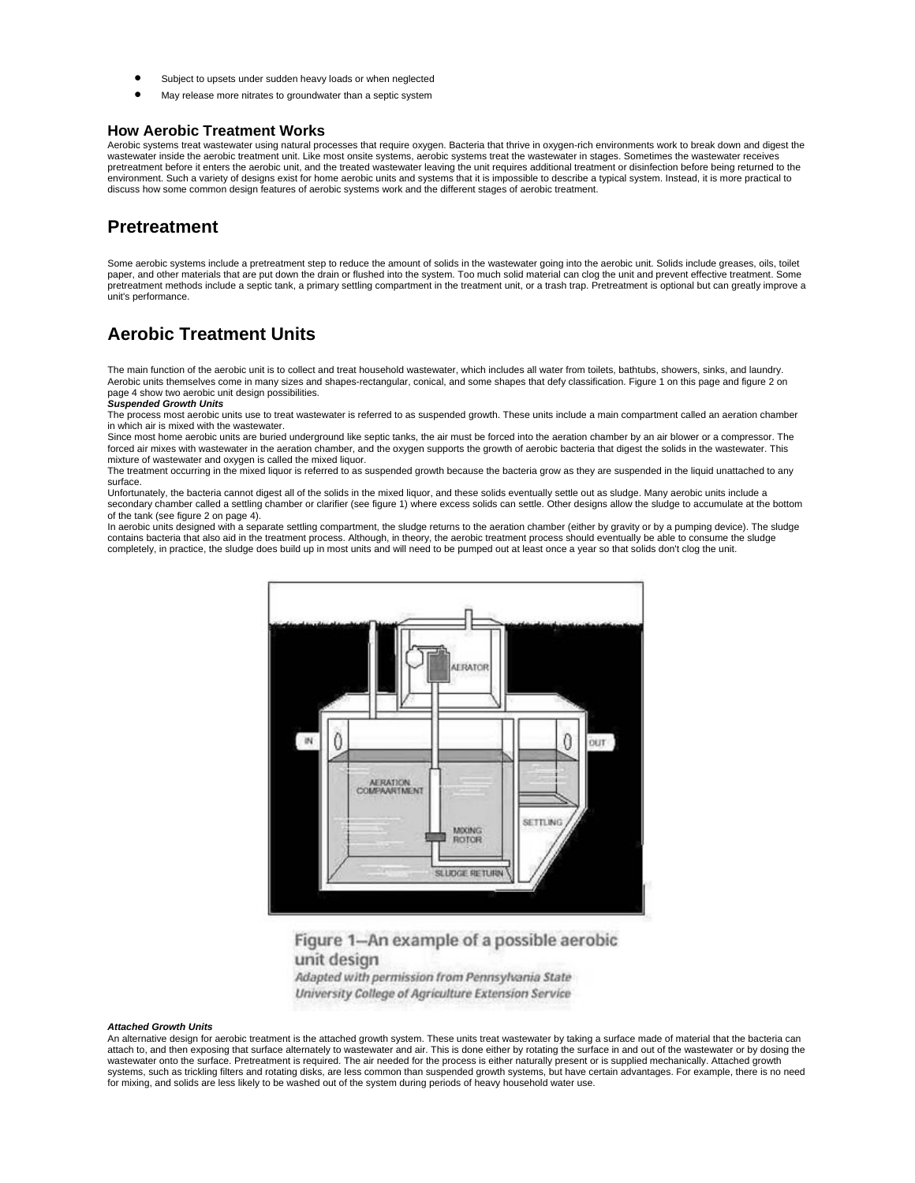- Subject to upsets under sudden heavy loads or when neglected
- May release more nitrates to groundwater than a septic system

### **How Aerobic Treatment Works**

Aerobic systems treat wastewater using natural processes that require oxygen. Bacteria that thrive in oxygen-rich environments work to break down and digest the wastewater inside the aerobic treatment unit. Like most onsite systems, aerobic systems treat the wastewater in stages. Sometimes the wastewater receives<br>pretreatment before it enters the aerobic unit, and the treated wast discuss how some common design features of aerobic systems work and the different stages of aerobic treatment.

### **Pretreatment**

Some aerobic systems include a pretreatment step to reduce the amount of solids in the wastewater going into the aerobic unit. Solids include greases, oils, toilet paper, and other materials that are put down the drain or flushed into the system. Too much solid material can clog the unit and prevent effective treatment. Some pretreatment methods include a septic tank, a primary settling compartment in the treatment unit, or a trash trap. Pretreatment is optional but can greatly improve a unit's performance.

## **Aerobic Treatment Units**

The main function of the aerobic unit is to collect and treat household wastewater, which includes all water from toilets, bathtubs, showers, sinks, and laundry. Aerobic units themselves come in many sizes and shapes-rectangular, conical, and some shapes that defy classification. Figure 1 on this page and figure 2 on page 4 show two aerobic unit design possibilities.

#### *Suspended Growth Units*

The process most aerobic units use to treat wastewater is referred to as suspended growth. These units include a main compartment called an aeration chamber in which air is mixed with the wastewater.

Since most home aerobic units are buried underground like septic tanks, the air must be forced into the aeration chamber by an air blower or a compressor. The forced air mixes with wastewater in the aeration chamber, and the oxygen supports the growth of aerobic bacteria that digest the solids in the wastewater. This mixture of wastewater and oxygen is called the mixed liquor.

The treatment occurring in the mixed liquor is referred to as suspended growth because the bacteria grow as they are suspended in the liquid unattached to any surface.

Unfortunately, the bacteria cannot digest all of the solids in the mixed liquor, and these solids eventually settle out as sludge. Many aerobic units include a secondary chamber called a settling chamber or clarifier (see figure 1) where excess solids can settle. Other designs allow the sludge to accumulate at the bottom of the tank (see figure 2 on page 4).

In aerobic units designed with a separate settling compartment, the sludge returns to the aeration chamber (either by gravity or by a pumping device). The sludge contains bacteria that also aid in the treatment process. Although, in theory, the aerobic treatment process should eventually be able to consume the sludge completely, in practice, the sludge does build up in most units and will need to be pumped out at least once a year so that solids don't clog the unit.



Figure 1-An example of a possible aerobic unit design Adapted with permission from Pennsylvania State University College of Agriculture Extension Service

#### *Attached Growth Units*

An alternative design for aerobic treatment is the attached growth system. These units treat wastewater by taking a surface made of material that the bacteria can attach to, and then exposing that surface alternately to wastewater and air. This is done either by rotating the surface in and out of the wastewater or by dosing the wastewater onto the surface. Pretreatment is required. The air needed for the process is either naturally present or is supplied mechanically. Attached growth systems, such as trickling filters and rotating disks, are less common than suspended growth systems, but have certain advantages. For example, there is no need for mixing, and solids are less likely to be washed out of the system during periods of heavy household water use.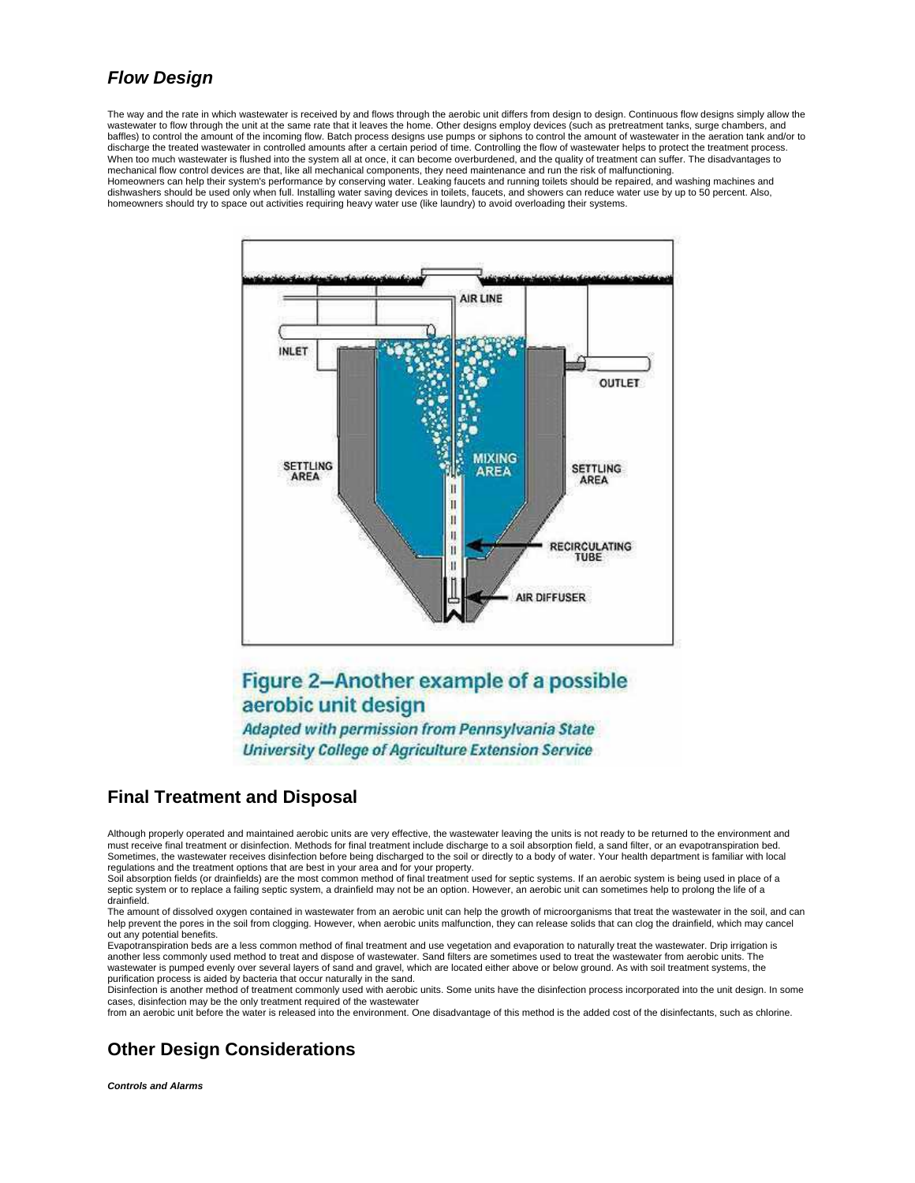# *Flow Design*

The way and the rate in which wastewater is received by and flows through the aerobic unit differs from design to design. Continuous flow designs simply allow the wastewater to flow through the unit at the same rate that it leaves the home. Other designs employ devices (such as pretreatment tanks, surge chambers, and baffles) to control the amount of the incoming flow. Batch process designs use pumps or siphons to control the amount of wastewater in the aeration tank and/or to discharge the treated wastewater in controlled amounts after a certain period of time. Controlling the flow of wastewater helps to protect the treatment process. When too much wastewater is flushed into the system all at once, it can become overburdened, and the quality of treatment can suffer. The disadvantages to mechanical flow control devices are that, like all mechanical components, they need maintenance and run the risk of malfunctioning. Homeowners can help their system's performance by conserving water. Leaking faucets and running toilets should be repaired, and washing machines and dishwashers should be used only when full. Installing water saving devices in toilets, faucets, and showers can reduce water use by up to 50 percent. Also, homeowners should try to space out activities requiring heavy water use (like laundry) to avoid overloading their systems.



# Figure 2-Another example of a possible aerobic unit design

Adapted with permission from Pennsylvania State **University College of Agriculture Extension Service** 

## **Final Treatment and Disposal**

Although properly operated and maintained aerobic units are very effective, the wastewater leaving the units is not ready to be returned to the environment and must receive final treatment or disinfection. Methods for final treatment include discharge to a soil absorption field, a sand filter, or an evapotranspiration bed.<br>Sometimes, the wastewater receives disinfection before be regulations and the treatment options that are best in your area and for your property.

Soil absorption fields (or drainfields) are the most common method of final treatment used for septic systems. If an aerobic system is being used in place of a septic system or to replace a failing septic system, a drainfield may not be an option. However, an aerobic unit can sometimes help to prolong the life of a drainfield.

The amount of dissolved oxygen contained in wastewater from an aerobic unit can help the growth of microorganisms that treat the wastewater in the soil, and can help prevent the pores in the soil from clogging. However, when aerobic units malfunction, they can release solids that can clog the drainfield, which may cancel out any potential benefits.

Evapotranspiration beds are a less common method of final treatment and use vegetation and evaporation to naturally treat the wastewater. Drip irrigation is another less commonly used method to treat and dispose of wastewater. Sand filters are sometimes used to treat the wastewater from aerobic units. The<br>wastewater is pumped evenly over several layers of sand and gravel, whic purification process is aided by bacteria that occur naturally in the sand.

Disinfection is another method of treatment commonly used with aerobic units. Some units have the disinfection process incorporated into the unit design. In some cases, disinfection may be the only treatment required of the wastewater

from an aerobic unit before the water is released into the environment. One disadvantage of this method is the added cost of the disinfectants, such as chlorine.

## **Other Design Considerations**

*Controls and Alarms*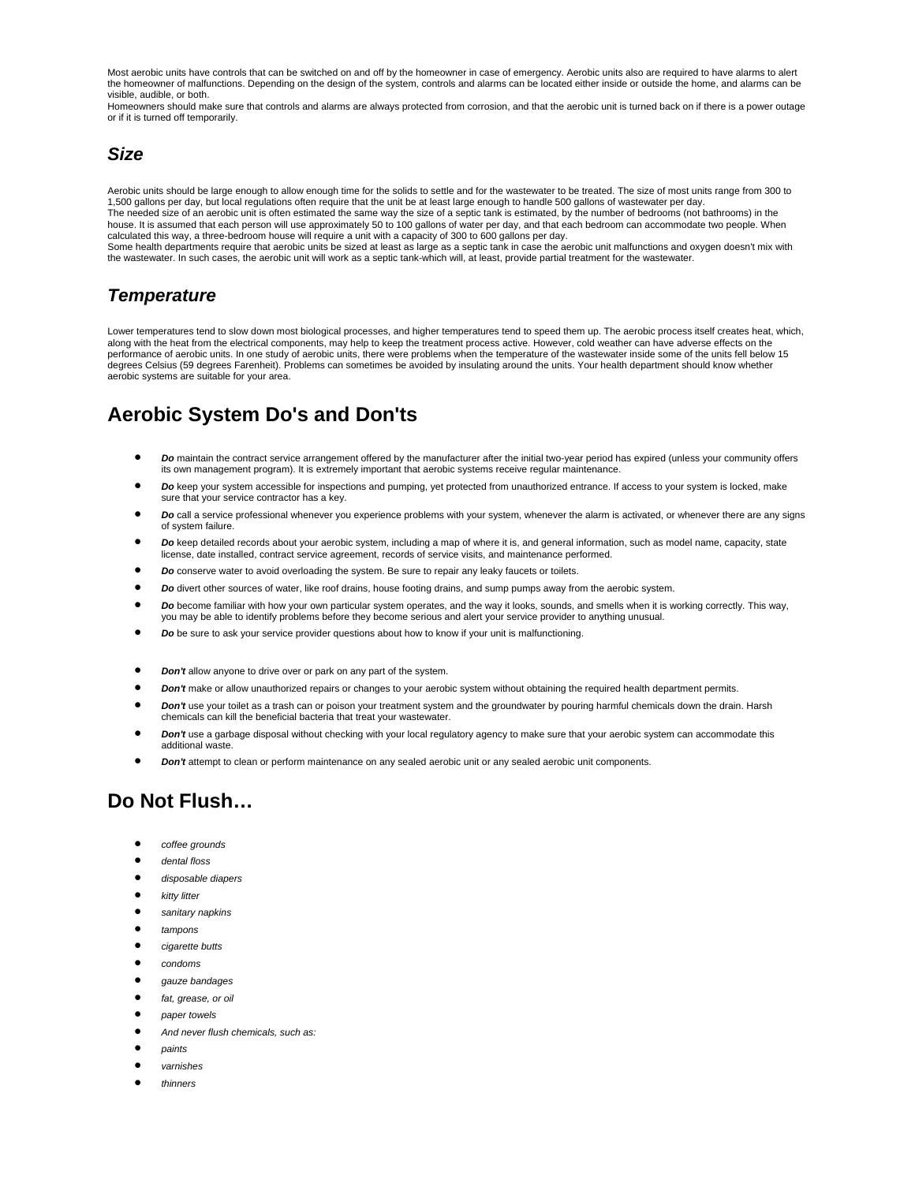Most aerobic units have controls that can be switched on and off by the homeowner in case of emergency. Aerobic units also are required to have alarms to alert the homeowner of malfunctions. Depending on the design of the system, controls and alarms can be located either inside or outside the home, and alarms can be visible, audible, or both.

Homeowners should make sure that controls and alarms are always protected from corrosion, and that the aerobic unit is turned back on if there is a power outage or if it is turned off temporarily.

### *Size*

Aerobic units should be large enough to allow enough time for the solids to settle and for the wastewater to be treated. The size of most units range from 300 to 1,500 gallons per day, but local regulations often require that the unit be at least large enough to handle 500 gallons of wastewater per day. The needed size of an aerobic unit is often estimated the same way the size of a septic tank is estimated, by the number of bedrooms (not bathrooms) in the house. It is assumed that each person will use approximately 50 to 100 gallons of water per day, and that each bedroom can accommodate two people. When calculated this way, a three-bedroom house will require a unit with a capacity of 300 to 600 gallons per day. Some health departments require that aerobic units be sized at least as large as a septic tank in case the aerobic unit malfunctions and oxygen doesn't mix with the wastewater. In such cases, the aerobic unit will work as a septic tank-which will, at least, provide partial treatment for the wastewater.

## *Temperature*

Lower temperatures tend to slow down most biological processes, and higher temperatures tend to speed them up. The aerobic process itself creates heat, which, along with the heat from the electrical components, may help to keep the treatment process active. However, cold weather can have adverse effects on the performance of aerobic units. In one study of aerobic units, there were problems when the temperature of the wastewater inside some of the units fell below 15 degrees Celsius (59 degrees Farenheit). Problems can sometimes be avoided by insulating around the units. Your health department should know whether aerobic systems are suitable for your area.

# **Aerobic System Do's and Don'ts**

- *Do* maintain the contract service arrangement offered by the manufacturer after the initial two-year period has expired (unless your community offers its own management program). It is extremely important that aerobic systems receive regular maintenance.
- *Do* keep your system accessible for inspections and pumping, yet protected from unauthorized entrance. If access to your system is locked, make sure that your service contractor has a key.
- *Do* call a service professional whenever you experience problems with your system, whenever the alarm is activated, or whenever there are any signs of system failure.
- *Do* keep detailed records about your aerobic system, including a map of where it is, and general information, such as model name, capacity, state license, date installed, contract service agreement, records of service visits, and maintenance performed.
- *Do* conserve water to avoid overloading the system. Be sure to repair any leaky faucets or toilets.
- *Do* divert other sources of water, like roof drains, house footing drains, and sump pumps away from the aerobic system.
- *Do* become familiar with how your own particular system operates, and the way it looks, sounds, and smells when it is working correctly. This way, you may be able to identify problems before they become serious and alert your service provider to anything unusual.
- *Do* be sure to ask your service provider questions about how to know if your unit is malfunctioning.
- *Don't* allow anyone to drive over or park on any part of the system.
- *Don't* make or allow unauthorized repairs or changes to your aerobic system without obtaining the required health department permits.
- *Don't* use your toilet as a trash can or poison your treatment system and the groundwater by pouring harmful chemicals down the drain. Harsh chemicals can kill the beneficial bacteria that treat your wastewater.
- *Don't* use a garbage disposal without checking with your local regulatory agency to make sure that your aerobic system can accommodate this additional waste.
- *Don't* attempt to clean or perform maintenance on any sealed aerobic unit or any sealed aerobic unit components.

# **Do Not Flush…**

- *coffee grounds*
- *dental floss*
- *disposable diapers*
- *kitty litter*
- *sanitary napkins*
- *tampons*
- *cigarette butts*
- *condoms*
- *gauze bandages*
- *fat, grease, or oil*
- *paper towels*
- *And never flush chemicals, such as:*
- *paints*
- *varnishes*
- *thinners*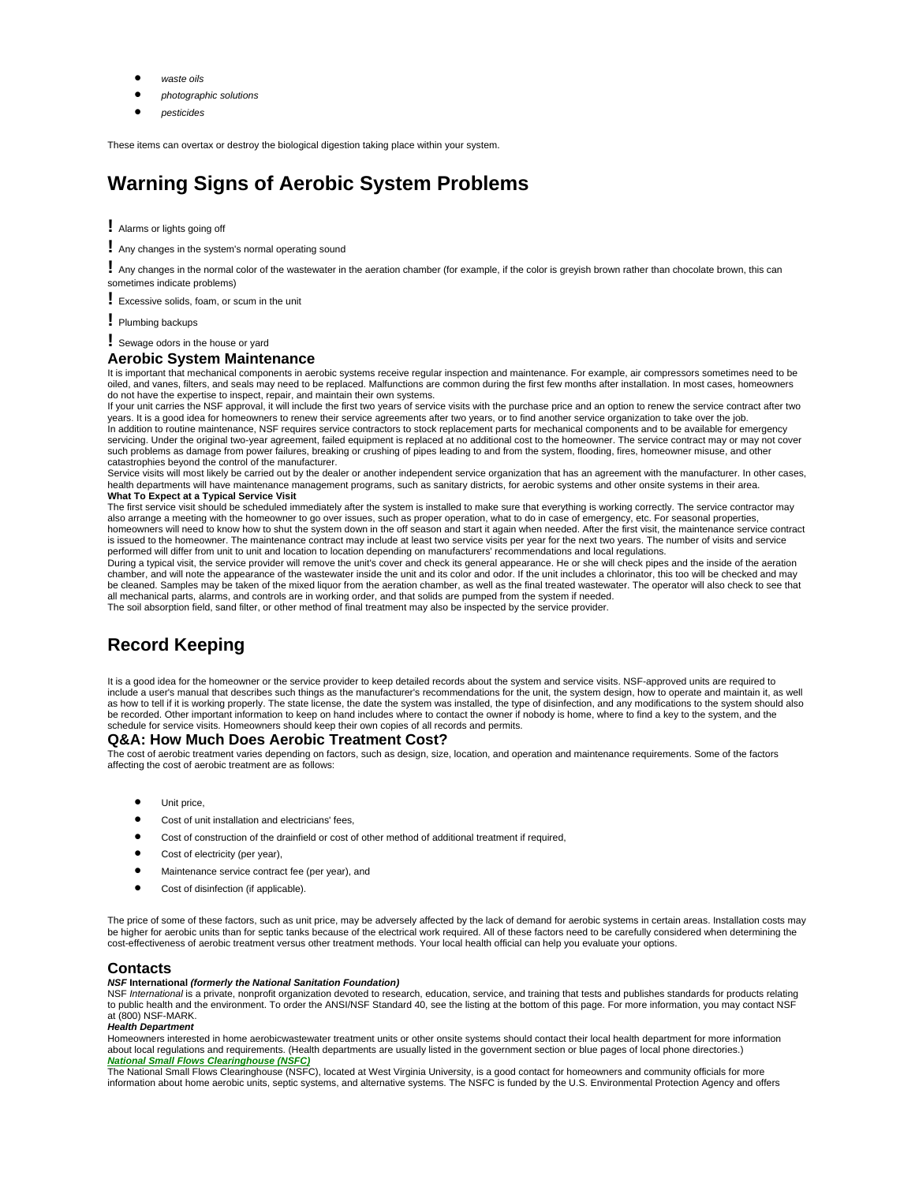- *waste oils*
- *photographic solutions*
- *pesticides*

These items can overtax or destroy the biological digestion taking place within your system.

# **Warning Signs of Aerobic System Problems**

**!** Alarms or lights going off

**!** Any changes in the system's normal operating sound

**!** Any changes in the normal color of the wastewater in the aeration chamber (for example, if the color is greyish brown rather than chocolate brown, this can sometimes indicate problems)

**!** Excessive solids, foam, or scum in the unit

- **!** Plumbing backups
- **!** Sewage odors in the house or yard

#### **Aerobic System Maintenance**

It is important that mechanical components in aerobic systems receive regular inspection and maintenance. For example, air compressors sometimes need to be oiled, and vanes, filters, and seals may need to be replaced. Malfunctions are common during the first few months after installation. In most cases, homeowners do not have the expertise to inspect, repair, and maintain their own systems.

If your unit carries the NSF approval, it will include the first two years of service visits with the purchase price and an option to renew the service contract after two years. It is a good idea for homeowners to renew their service agreements after two years, or to find another service organization to take over the job. In addition to routine maintenance, NSF requires service contractors to stock replacement parts for mechanical components and to be available for emergency servicing. Under the original two-year agreement, failed equipment is replaced at no additional cost to the homeowner. The service contract may or may not cover such problems as damage from power failures, breaking or crushing of pipes leading to and from the system, flooding, fires, homeowner misuse, and other catastrophies beyond the control of the manufacturer.

Service visits will most likely be carried out by the dealer or another independent service organization that has an agreement with the manufacturer. In other cases, health departments will have maintenance management programs, such as sanitary districts, for aerobic systems and other onsite systems in their area. **What To Expect at a Typical Service Visit** 

The first service visit should be scheduled immediately after the system is installed to make sure that everything is working correctly. The service contractor may also arrange a meeting with the homeowner to go over issues, such as proper operation, what to do in case of emergency, etc. For seasonal properties,<br>homeowners will need to know how to shut the system down in the off seas is issued to the homeowner. The maintenance contract may include at least two service visits per year for the next two years. The number of visits and service performed will differ from unit to unit and location to location depending on manufacturers' recommendations and local regulations.

During a typical visit, the service provider will remove the unit's cover and check its general appearance. He or she will check pipes and the inside of the aeration chamber, and will note the appearance of the wastewater inside the unit and its color and odor. If the unit includes a chlorinator, this too will be checked and may be cleaned. Samples may be taken of the mixed liquor from the aeration chamber, as well as the final treated wastewater. The operator will also check to see that<br>all mechanical parts, alarms, and controls are in working or The soil absorption field, sand filter, or other method of final treatment may also be inspected by the service provider.

## **Record Keeping**

It is a good idea for the homeowner or the service provider to keep detailed records about the system and service visits. NSF-approved units are required to include a user's manual that describes such things as the manufacturer's recommendations for the unit, the system design, how to operate and maintain it, as well<br>as how to tell if it is working properly. The state license, be recorded. Other important information to keep on hand includes where to contact the owner if nobody is home, where to find a key to the system, and the schedule for service visits. Homeowners should keep their own copies of all records and permits.

#### **Q&A: How Much Does Aerobic Treatment Cost?**

The cost of aerobic treatment varies depending on factors, such as design, size, location, and operation and maintenance requirements. Some of the factors affecting the cost of aerobic treatment are as follows:

- Unit price,
- Cost of unit installation and electricians' fees,
- Cost of construction of the drainfield or cost of other method of additional treatment if required,
- Cost of electricity (per year),
- Maintenance service contract fee (per year), and
- Cost of disinfection (if applicable).

The price of some of these factors, such as unit price, may be adversely affected by the lack of demand for aerobic systems in certain areas. Installation costs may be higher for aerobic units than for septic tanks because of the electrical work required. All of these factors need to be carefully considered when determining the cost-effectiveness of aerobic treatment versus other treatment methods. Your local health official can help you evaluate your options.

#### **Contacts**

#### *NSF* **International** *(formerly the National Sanitation Foundation)*

NSF International is a private, nonprofit organization devoted to research, education, service, and training that tests and publishes standards for products relating to public health and the environment. To order the ANSI/NSF Standard 40, see the listing at the bottom of this page. For more information, you may contact NSF at (800) NSF-MARK. *Health Department*

Homeowners interested in home aerobicwastewater treatment units or other onsite systems should contact their local health department for more information about local regulations and requirements. (Health departments are usually listed in the government section or blue pages of local phone directories.) *[National Small Flows Clearinghouse \(NSFC\)](http://www.nesc.wvu.edu/nsfc/nsfc_index.htm)*

The National Small Flows Clearinghouse (NSFC), located at West Virginia University, is a good contact for homeowners and community officials for more information about home aerobic units, septic systems, and alternative systems. The NSFC is funded by the U.S. Environmental Protection Agency and offers